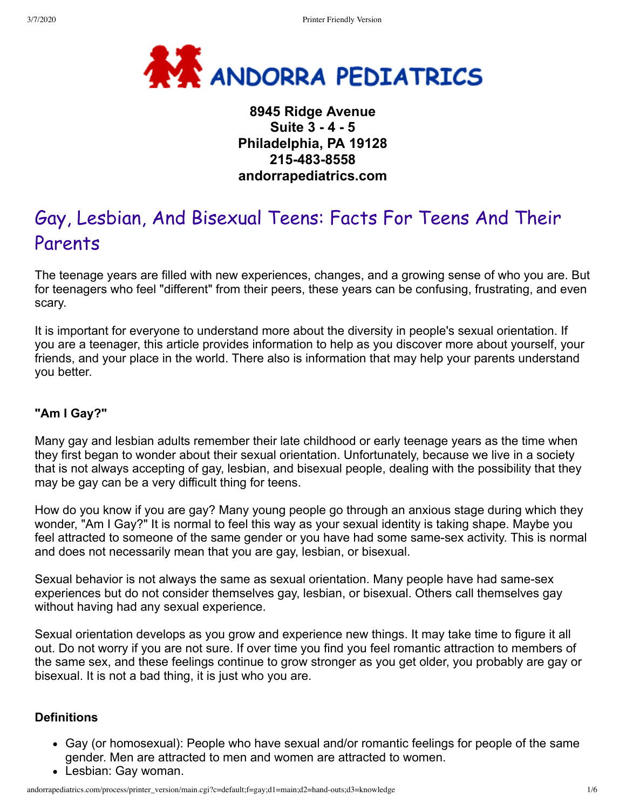

# **8945 Ridge Avenue Suite 3 - 4 - 5 Philadelphia, PA 19128 215-483-8558 andorrapediatrics.com**

# Gay, Lesbian, And Bisexual Teens: Facts For Teens And Their Parents

The teenage years are filled with new experiences, changes, and a growing sense of who you are. But for teenagers who feel "different" from their peers, these years can be confusing, frustrating, and even scary.

It is important for everyone to understand more about the diversity in people's sexual orientation. If you are a teenager, this article provides information to help as you discover more about yourself, your friends, and your place in the world. There also is information that may help your parents understand you better.

# **"Am I Gay?"**

Many gay and lesbian adults remember their late childhood or early teenage years as the time when they first began to wonder about their sexual orientation. Unfortunately, because we live in a society that is not always accepting of gay, lesbian, and bisexual people, dealing with the possibility that they may be gay can be a very difficult thing for teens.

How do you know if you are gay? Many young people go through an anxious stage during which they wonder, "Am I Gay?" It is normal to feel this way as your sexual identity is taking shape. Maybe you feel attracted to someone of the same gender or you have had some same-sex activity. This is normal and does not necessarily mean that you are gay, lesbian, or bisexual.

Sexual behavior is not always the same as sexual orientation. Many people have had same-sex experiences but do not consider themselves gay, lesbian, or bisexual. Others call themselves gay without having had any sexual experience.

Sexual orientation develops as you grow and experience new things. It may take time to figure it all out. Do not worry if you are not sure. If over time you find you feel romantic attraction to members of the same sex, and these feelings continue to grow stronger as you get older, you probably are gay or bisexual. It is not a bad thing, it is just who you are.

#### **Definitions**

- Gay (or homosexual): People who have sexual and/or romantic feelings for people of the same gender. Men are attracted to men and women are attracted to women.
- Lesbian: Gay woman.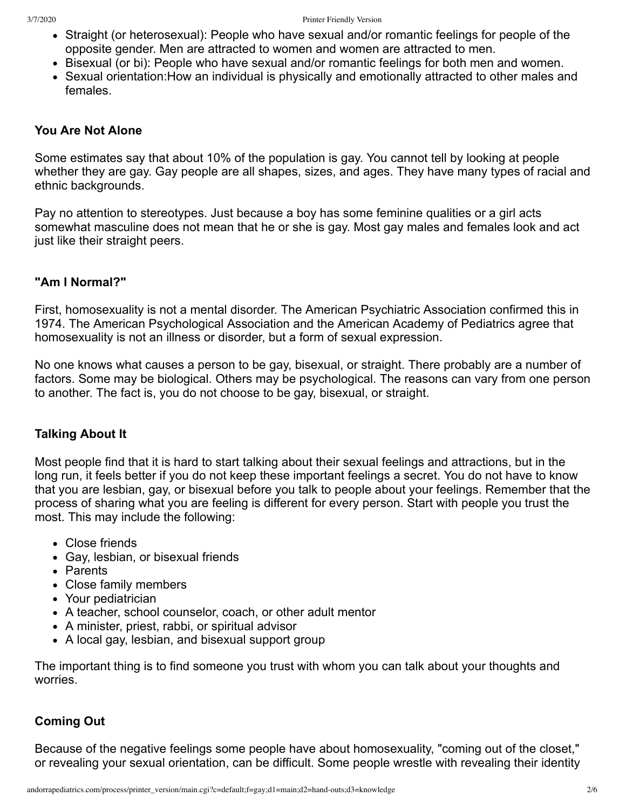- Straight (or heterosexual): People who have sexual and/or romantic feelings for people of the opposite gender. Men are attracted to women and women are attracted to men.
- Bisexual (or bi): People who have sexual and/or romantic feelings for both men and women.
- Sexual orientation:How an individual is physically and emotionally attracted to other males and females.

### **You Are Not Alone**

Some estimates say that about 10% of the population is gay. You cannot tell by looking at people whether they are gay. Gay people are all shapes, sizes, and ages. They have many types of racial and ethnic backgrounds.

Pay no attention to stereotypes. Just because a boy has some feminine qualities or a girl acts somewhat masculine does not mean that he or she is gay. Most gay males and females look and act just like their straight peers.

# **"Am I Normal?"**

First, homosexuality is not a mental disorder. The American Psychiatric Association confirmed this in 1974. The American Psychological Association and the American Academy of Pediatrics agree that homosexuality is not an illness or disorder, but a form of sexual expression.

No one knows what causes a person to be gay, bisexual, or straight. There probably are a number of factors. Some may be biological. Others may be psychological. The reasons can vary from one person to another. The fact is, you do not choose to be gay, bisexual, or straight.

# **Talking About It**

Most people find that it is hard to start talking about their sexual feelings and attractions, but in the long run, it feels better if you do not keep these important feelings a secret. You do not have to know that you are lesbian, gay, or bisexual before you talk to people about your feelings. Remember that the process of sharing what you are feeling is different for every person. Start with people you trust the most. This may include the following:

- Close friends
- Gay, lesbian, or bisexual friends
- Parents
- Close family members
- Your pediatrician
- A teacher, school counselor, coach, or other adult mentor
- A minister, priest, rabbi, or spiritual advisor
- A local gay, lesbian, and bisexual support group

The important thing is to find someone you trust with whom you can talk about your thoughts and worries.

# **Coming Out**

Because of the negative feelings some people have about homosexuality, "coming out of the closet," or revealing your sexual orientation, can be difficult. Some people wrestle with revealing their identity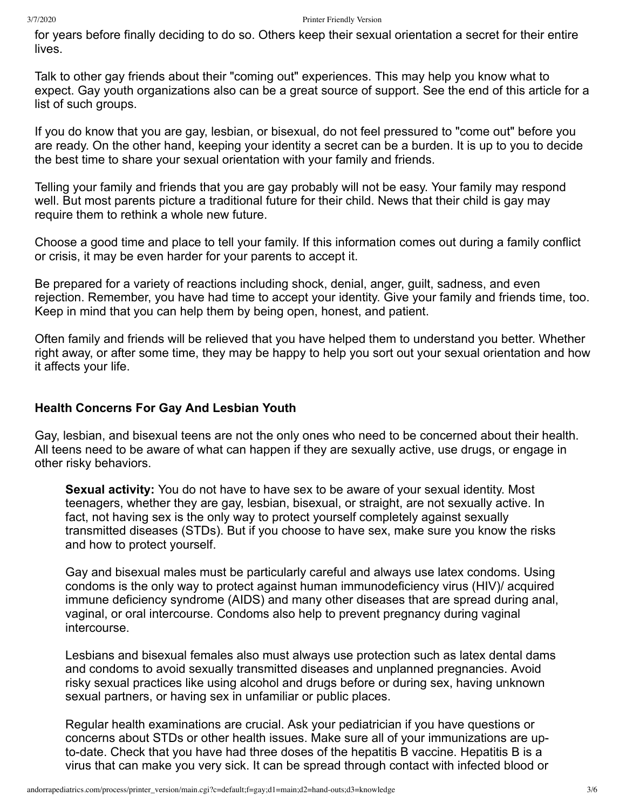for years before finally deciding to do so. Others keep their sexual orientation a secret for their entire lives.

Talk to other gay friends about their "coming out" experiences. This may help you know what to expect. Gay youth organizations also can be a great source of support. See the end of this article for a list of such groups.

If you do know that you are gay, lesbian, or bisexual, do not feel pressured to "come out" before you are ready. On the other hand, keeping your identity a secret can be a burden. It is up to you to decide the best time to share your sexual orientation with your family and friends.

Telling your family and friends that you are gay probably will not be easy. Your family may respond well. But most parents picture a traditional future for their child. News that their child is gay may require them to rethink a whole new future.

Choose a good time and place to tell your family. If this information comes out during a family conflict or crisis, it may be even harder for your parents to accept it.

Be prepared for a variety of reactions including shock, denial, anger, guilt, sadness, and even rejection. Remember, you have had time to accept your identity. Give your family and friends time, too. Keep in mind that you can help them by being open, honest, and patient.

Often family and friends will be relieved that you have helped them to understand you better. Whether right away, or after some time, they may be happy to help you sort out your sexual orientation and how it affects your life.

# **Health Concerns For Gay And Lesbian Youth**

Gay, lesbian, and bisexual teens are not the only ones who need to be concerned about their health. All teens need to be aware of what can happen if they are sexually active, use drugs, or engage in other risky behaviors.

**Sexual activity:** You do not have to have sex to be aware of your sexual identity. Most teenagers, whether they are gay, lesbian, bisexual, or straight, are not sexually active. In fact, not having sex is the only way to protect yourself completely against sexually transmitted diseases (STDs). But if you choose to have sex, make sure you know the risks and how to protect yourself.

Gay and bisexual males must be particularly careful and always use latex condoms. Using condoms is the only way to protect against human immunodeficiency virus (HIV)/ acquired immune deficiency syndrome (AIDS) and many other diseases that are spread during anal, vaginal, or oral intercourse. Condoms also help to prevent pregnancy during vaginal intercourse.

Lesbians and bisexual females also must always use protection such as latex dental dams and condoms to avoid sexually transmitted diseases and unplanned pregnancies. Avoid risky sexual practices like using alcohol and drugs before or during sex, having unknown sexual partners, or having sex in unfamiliar or public places.

Regular health examinations are crucial. Ask your pediatrician if you have questions or concerns about STDs or other health issues. Make sure all of your immunizations are upto-date. Check that you have had three doses of the hepatitis B vaccine. Hepatitis B is a virus that can make you very sick. It can be spread through contact with infected blood or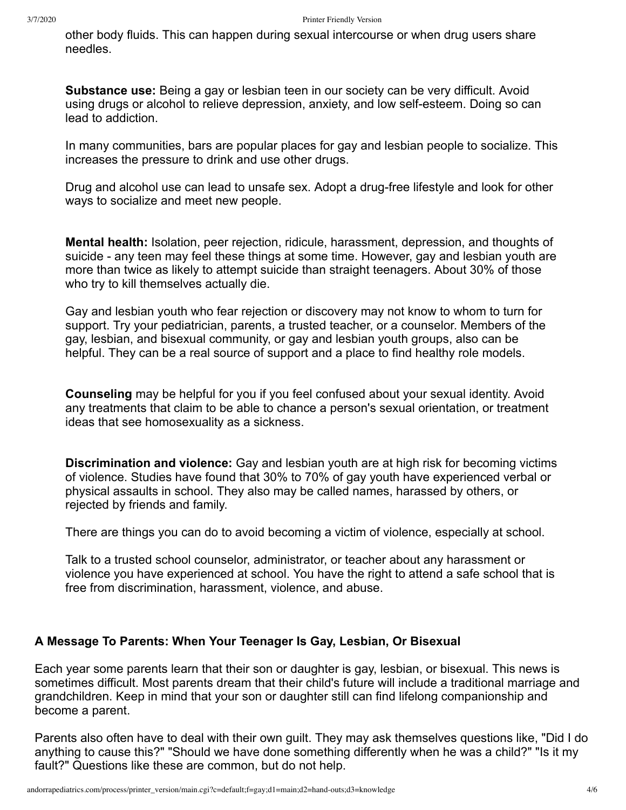other body fluids. This can happen during sexual intercourse or when drug users share needles.

**Substance use:** Being a gay or lesbian teen in our society can be very difficult. Avoid using drugs or alcohol to relieve depression, anxiety, and low self-esteem. Doing so can lead to addiction.

In many communities, bars are popular places for gay and lesbian people to socialize. This increases the pressure to drink and use other drugs.

Drug and alcohol use can lead to unsafe sex. Adopt a drug-free lifestyle and look for other ways to socialize and meet new people.

**Mental health:** Isolation, peer rejection, ridicule, harassment, depression, and thoughts of suicide - any teen may feel these things at some time. However, gay and lesbian youth are more than twice as likely to attempt suicide than straight teenagers. About 30% of those who try to kill themselves actually die.

Gay and lesbian youth who fear rejection or discovery may not know to whom to turn for support. Try your pediatrician, parents, a trusted teacher, or a counselor. Members of the gay, lesbian, and bisexual community, or gay and lesbian youth groups, also can be helpful. They can be a real source of support and a place to find healthy role models.

**Counseling** may be helpful for you if you feel confused about your sexual identity. Avoid any treatments that claim to be able to chance a person's sexual orientation, or treatment ideas that see homosexuality as a sickness.

**Discrimination and violence:** Gay and lesbian youth are at high risk for becoming victims of violence. Studies have found that 30% to 70% of gay youth have experienced verbal or physical assaults in school. They also may be called names, harassed by others, or rejected by friends and family.

There are things you can do to avoid becoming a victim of violence, especially at school.

Talk to a trusted school counselor, administrator, or teacher about any harassment or violence you have experienced at school. You have the right to attend a safe school that is free from discrimination, harassment, violence, and abuse.

# **A Message To Parents: When Your Teenager Is Gay, Lesbian, Or Bisexual**

Each year some parents learn that their son or daughter is gay, lesbian, or bisexual. This news is sometimes difficult. Most parents dream that their child's future will include a traditional marriage and grandchildren. Keep in mind that your son or daughter still can find lifelong companionship and become a parent.

Parents also often have to deal with their own guilt. They may ask themselves questions like, "Did I do anything to cause this?" "Should we have done something differently when he was a child?" "Is it my fault?" Questions like these are common, but do not help.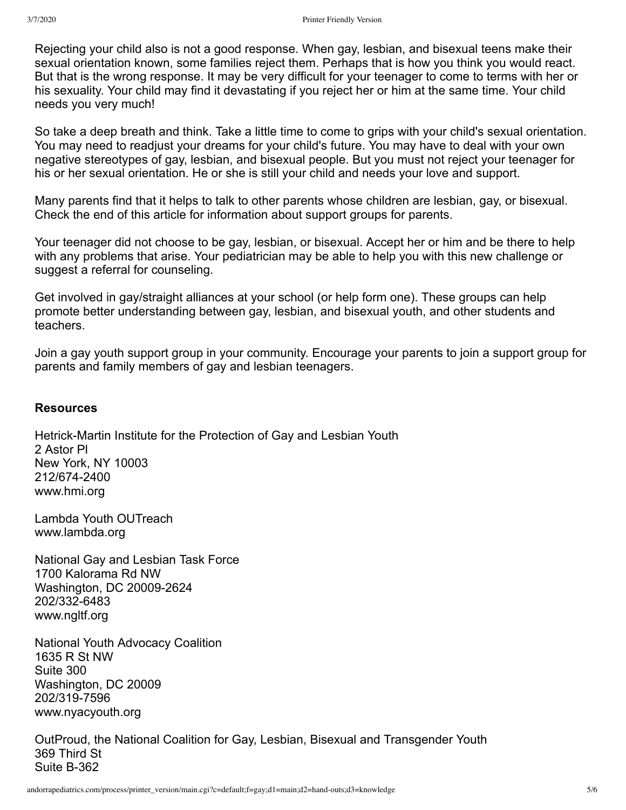Rejecting your child also is not a good response. When gay, lesbian, and bisexual teens make their sexual orientation known, some families reject them. Perhaps that is how you think you would react. But that is the wrong response. It may be very difficult for your teenager to come to terms with her or his sexuality. Your child may find it devastating if you reject her or him at the same time. Your child needs you very much!

So take a deep breath and think. Take a little time to come to grips with your child's sexual orientation. You may need to readjust your dreams for your child's future. You may have to deal with your own negative stereotypes of gay, lesbian, and bisexual people. But you must not reject your teenager for his or her sexual orientation. He or she is still your child and needs your love and support.

Many parents find that it helps to talk to other parents whose children are lesbian, gay, or bisexual. Check the end of this article for information about support groups for parents.

Your teenager did not choose to be gay, lesbian, or bisexual. Accept her or him and be there to help with any problems that arise. Your pediatrician may be able to help you with this new challenge or suggest a referral for counseling.

Get involved in gay/straight alliances at your school (or help form one). These groups can help promote better understanding between gay, lesbian, and bisexual youth, and other students and teachers.

Join a gay youth support group in your community. Encourage your parents to join a support group for parents and family members of gay and lesbian teenagers.

#### **Resources**

Hetrick-Martin Institute for the Protection of Gay and Lesbian Youth 2 Astor Pl New York, NY 10003 212/674-2400 www.hmi.org

Lambda Youth OUTreach www.lambda.org

National Gay and Lesbian Task Force 1700 Kalorama Rd NW Washington, DC 20009-2624 202/332-6483 www.ngltf.org

National Youth Advocacy Coalition 1635 R St NW Suite 300 Washington, DC 20009 202/319-7596 www.nyacyouth.org

OutProud, the National Coalition for Gay, Lesbian, Bisexual and Transgender Youth 369 Third St Suite B-362